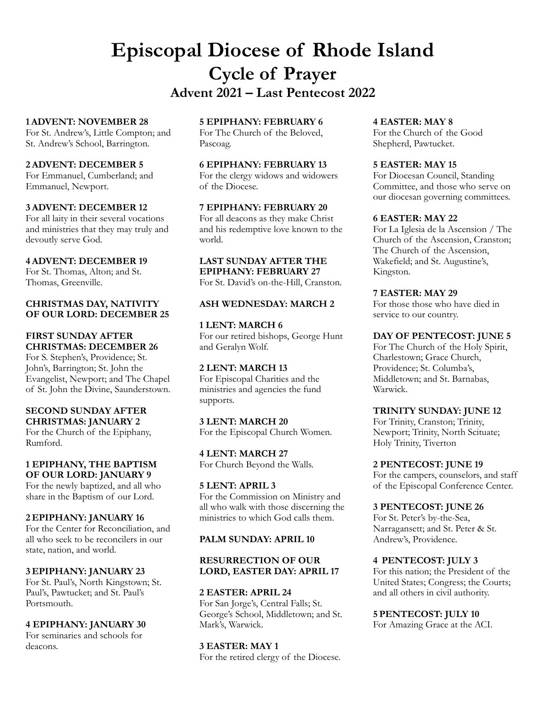# **Episcopal Diocese of Rhode Island Cycle of Prayer Advent 2021 – Last Pentecost 2022**

#### **1 ADVENT: NOVEMBER 28**

For St. Andrew's, Little Compton; and St. Andrew's School, Barrington.

#### **2 ADVENT: DECEMBER 5**

For Emmanuel, Cumberland; and Emmanuel, Newport.

### **3 ADVENT: DECEMBER 12**

For all laity in their several vocations and ministries that they may truly and devoutly serve God.

#### **4 ADVENT: DECEMBER 19**

For St. Thomas, Alton; and St. Thomas, Greenville.

#### **CHRISTMAS DAY, NATIVITY OF OUR LORD: DECEMBER 25**

### **FIRST SUNDAY AFTER CHRISTMAS: DECEMBER 26**

For S. Stephen's, Providence; St. John's, Barrington; St. John the Evangelist, Newport; and The Chapel of St. John the Divine, Saunderstown.

#### **SECOND SUNDAY AFTER CHRISTMAS: JANUARY 2**

For the Church of the Epiphany, Rumford.

## **1 EPIPHANY, THE BAPTISM OF OUR LORD: JANUARY 9**

For the newly baptized, and all who share in the Baptism of our Lord.

## **2 EPIPHANY: JANUARY 16**

For the Center for Reconciliation, and all who seek to be reconcilers in our state, nation, and world.

## **3 EPIPHANY: JANUARY 23**

For St. Paul's, North Kingstown; St. Paul's, Pawtucket; and St. Paul's Portsmouth.

## **4 EPIPHANY: JANUARY 30**

For seminaries and schools for deacons.

## **5 EPIPHANY: FEBRUARY 6**

For The Church of the Beloved, Pascoag.

#### **6 EPIPHANY: FEBRUARY 13**

For the clergy widows and widowers of the Diocese.

## **7 EPIPHANY: FEBRUARY 20**

For all deacons as they make Christ and his redemptive love known to the world.

**LAST SUNDAY AFTER THE EPIPHANY: FEBRUARY 27** For St. David's on-the-Hill, Cranston.

### **ASH WEDNESDAY: MARCH 2**

**1 LENT: MARCH 6** For our retired bishops, George Hunt and Geralyn Wolf.

## **2 LENT: MARCH 13**

For Episcopal Charities and the ministries and agencies the fund supports.

**3 LENT: MARCH 20** For the Episcopal Church Women.

**4 LENT: MARCH 27** For Church Beyond the Walls.

#### **5 LENT: APRIL 3** For the Commission on Ministry and all who walk with those discerning the ministries to which God calls them.

#### **PALM SUNDAY: APRIL 10**

#### **RESURRECTION OF OUR LORD, EASTER DAY: APRIL 17**

#### **2 EASTER: APRIL 24** For San Jorge's, Central Falls; St. George's School, Middletown; and St. Mark's, Warwick.

**3 EASTER: MAY 1** For the retired clergy of the Diocese.

#### **4 EASTER: MAY 8**

For the Church of the Good Shepherd, Pawtucket.

## **5 EASTER: MAY 15**

For Diocesan Council, Standing Committee, and those who serve on our diocesan governing committees.

#### **6 EASTER: MAY 22**

For La Iglesia de la Ascension / The Church of the Ascension, Cranston; The Church of the Ascension, Wakefield; and St. Augustine's, Kingston.

#### **7 EASTER: MAY 29**

For those those who have died in service to our country.

## **DAY OF PENTECOST: JUNE 5**

For The Church of the Holy Spirit, Charlestown; Grace Church, Providence; St. Columba's, Middletown; and St. Barnabas, Warwick.

#### **TRINITY SUNDAY: JUNE 12**

For Trinity, Cranston; Trinity, Newport; Trinity, North Scituate; Holy Trinity, Tiverton

#### **2 PENTECOST: JUNE 19**

For the campers, counselors, and staff of the Episcopal Conference Center.

## **3 PENTECOST: JUNE 26**

For St. Peter's by-the-Sea, Narragansett; and St. Peter & St. Andrew's, Providence.

#### **4 PENTECOST: JULY 3**

For this nation; the President of the United States; Congress; the Courts; and all others in civil authority.

**5 PENTECOST: JULY 10** For Amazing Grace at the ACI.